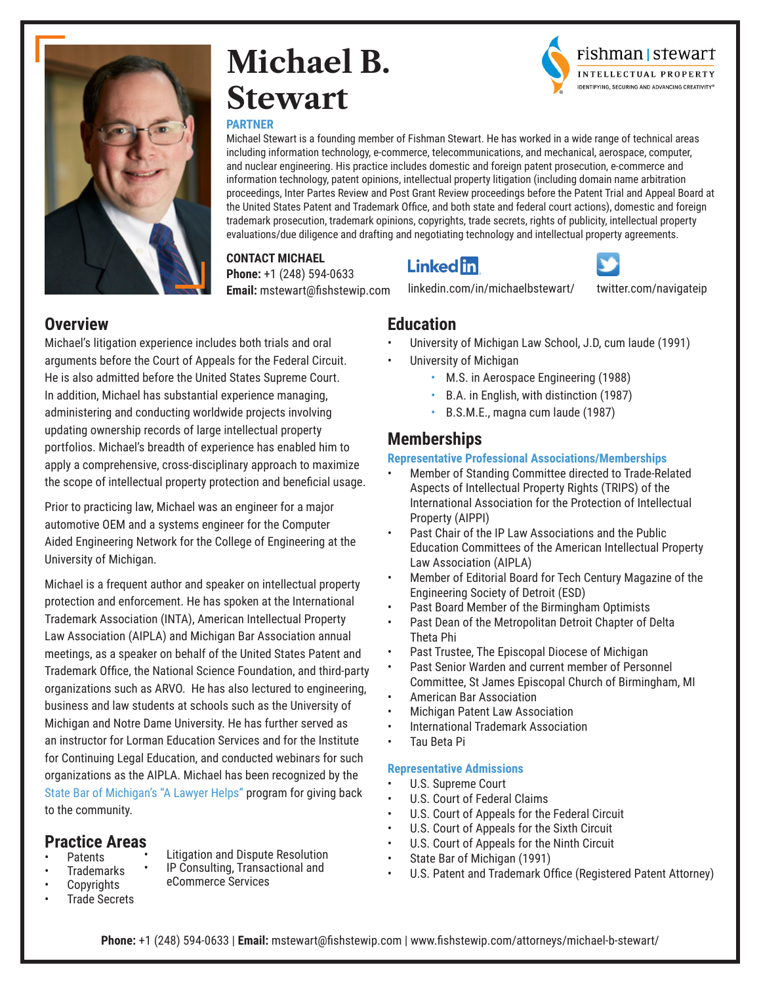

## **Michael B. Stewart**



#### **PARTNER**

Michael Stewart is a founding member of Fishman Stewart. He has worked in a wide range of technical areas including information technology, e-commerce, telecommunications, and mechanical, aerospace, computer, and nuclear engineering. His practice includes domestic and foreign patent prosecution, e-commerce and information technology, patent opinions, intellectual property litigation (including domain name arbitration proceedings, Inter Partes Review and Post Grant Review proceedings before the Patent Trial and Appeal Board at the United States Patent and Trademark Office, and both state and federal court actions), domestic and foreign trademark prosecution, trademark opinions, copyrights, trade secrets, rights of publicity, intellectual property evaluations/due diligence and drafting and negotiating technology and intellectual property agreements.

#### **CONTACT MICHAEL**

**Phone:** +1 (248) 594-0633 **Email:** mstewart@fishstewip.com



[linkedin.com/in/michaelbstewart/](http://linkedin.com/in/michaelbstewart/)



[twitter.com/navigateip](http://twitter.com/navigateip)

#### **Overview**

Michael's litigation experience includes both trials and oral arguments before the Court of Appeals for the Federal Circuit. He is also admitted before the United States Supreme Court. In addition, Michael has substantial experience managing, administering and conducting worldwide projects involving updating ownership records of large intellectual property portfolios. Michael's breadth of experience has enabled him to apply a comprehensive, cross-disciplinary approach to maximize the scope of intellectual property protection and beneficial usage.

Prior to practicing law, Michael was an engineer for a major automotive OEM and a systems engineer for the Computer Aided Engineering Network for the College of Engineering at the University of Michigan.

Michael is a frequent author and speaker on intellectual property protection and enforcement. He has spoken at the International Trademark Association (INTA), American Intellectual Property Law Association (AIPLA) and Michigan Bar Association annual meetings, as a speaker on behalf of the United States Patent and Trademark Office, the National Science Foundation, and third-party organizations such as ARVO. He has also lectured to engineering, business and law students at schools such as the University of Michigan and Notre Dame University. He has further served as an instructor for Lorman Education Services and for the Institute for Continuing Legal Education, and conducted webinars for such organizations as the AIPLA. Michael has been recognized by the State Bar of Michigan's "A Lawyer Helps" program for giving back to the community.

#### **Practice Areas**

- **Patents Trademarks**
- Litigation and Dispute Resolution • IP Consulting, Transactional and
	- eCommerce Services
- Copyrights • Trade Secrets

## **Education**

- University of Michigan Law School, J.D, cum laude (1991)
- University of Michigan
	- M.S. in Aerospace Engineering (1988)
	- B.A. in English, with distinction (1987)
	- B.S.M.E., magna cum laude (1987)

### **Memberships**

#### **Representative Professional Associations/Memberships**

- Member of Standing Committee directed to Trade-Related Aspects of Intellectual Property Rights (TRIPS) of the International Association for the Protection of Intellectual Property (AIPPI)
- Past Chair of the IP Law Associations and the Public Education Committees of the American Intellectual Property Law Association (AIPLA)
- Member of Editorial Board for Tech Century Magazine of the Engineering Society of Detroit (ESD)
- Past Board Member of the Birmingham Optimists
- Past Dean of the Metropolitan Detroit Chapter of Delta Theta Phi
- Past Trustee, The Episcopal Diocese of Michigan
- Past Senior Warden and current member of Personnel Committee, St James Episcopal Church of Birmingham, MI
- American Bar Association
- Michigan Patent Law Association
- International Trademark Association
- Tau Beta Pi

#### **Representative Admissions**

- U.S. Supreme Court
- U.S. Court of Federal Claims
- U.S. Court of Appeals for the Federal Circuit
- U.S. Court of Appeals for the Sixth Circuit
- U.S. Court of Appeals for the Ninth Circuit
- State Bar of Michigan (1991)
- U.S. Patent and Trademark Office (Registered Patent Attorney)